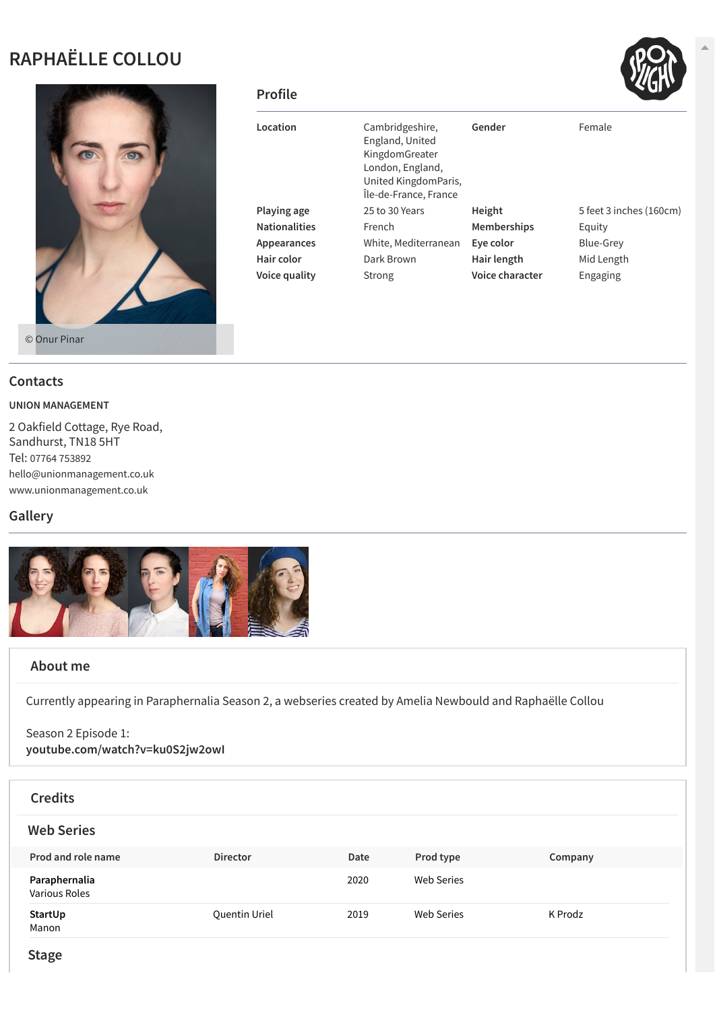# **RAPHAËLLE COLLOU**



| <b>Profile</b>       |                                                                                                                           |                    | 3 Y J                   |
|----------------------|---------------------------------------------------------------------------------------------------------------------------|--------------------|-------------------------|
| Location             | Cambridgeshire,<br>England, United<br>KingdomGreater<br>London, England,<br>United KingdomParis,<br>Île-de-France, France | Gender             | Female                  |
| Playing age          | 25 to 30 Years                                                                                                            | Height             | 5 feet 3 inches (160cm) |
| <b>Nationalities</b> | French                                                                                                                    | <b>Memberships</b> | Equity                  |
| Appearances          | White, Mediterranean                                                                                                      | Eye color          | Blue-Grey               |
| Hair color           | Dark Brown                                                                                                                | Hair length        | Mid Length              |
| Voice quality        | Strong                                                                                                                    | Voice character    | Engaging                |

### **Contacts**

#### **UNION MANAGEMENT**

2 Oakfield Cottage, Rye Road, Sandhurst, TN18 5HT Tel: 07764 [753892](tel:07764 753892) [hello@unionmanagement.co.uk](mailto:hello@unionmanagement.co.uk) [www.unionmanagement.co.uk](http://www.unionmanagement.co.uk/)

## **Gallery**



## **About me**

Currently appearing in Paraphernalia Season 2, a webseries created by Amelia Newbould and Raphaëlle Collou

Season 2 Episode 1: **[youtube.com/watch?v=ku0S2jw2owI](http://youtube.com/watch?v=ku0S2jw2owI)**

| <b>Credits</b>                        |                 |      |                   |         |
|---------------------------------------|-----------------|------|-------------------|---------|
| <b>Web Series</b>                     |                 |      |                   |         |
| Prod and role name                    | <b>Director</b> | Date | Prod type         | Company |
| Paraphernalia<br><b>Various Roles</b> |                 | 2020 | <b>Web Series</b> |         |
| StartUp<br>Manon                      | Quentin Uriel   | 2019 | <b>Web Series</b> | K Prodz |



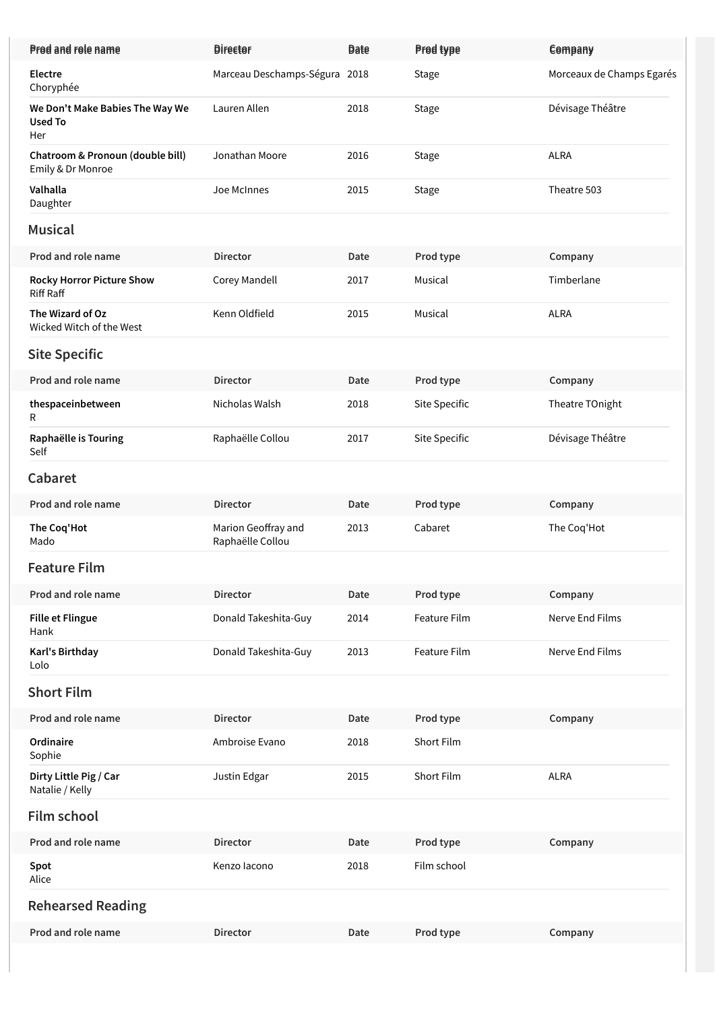| Prod and role name                                       | <b>Director</b>                         | <b>Date</b> | Prod type     | Company                   |
|----------------------------------------------------------|-----------------------------------------|-------------|---------------|---------------------------|
| Electre<br>Choryphée                                     | Marceau Deschamps-Ségura 2018           |             | <b>Stage</b>  | Morceaux de Champs Egarés |
| We Don't Make Babies The Way We<br><b>Used To</b><br>Her | Lauren Allen                            | 2018        | <b>Stage</b>  | Dévisage Théâtre          |
| Chatroom & Pronoun (double bill)<br>Emily & Dr Monroe    | Jonathan Moore                          | 2016        | <b>Stage</b>  | <b>ALRA</b>               |
| Valhalla<br>Daughter                                     | Joe McInnes                             | 2015        | <b>Stage</b>  | Theatre 503               |
| <b>Musical</b>                                           |                                         |             |               |                           |
| Prod and role name                                       | <b>Director</b>                         | Date        | Prod type     | Company                   |
| <b>Rocky Horror Picture Show</b><br><b>Riff Raff</b>     | Corey Mandell                           | 2017        | Musical       | Timberlane                |
| The Wizard of Oz<br>Wicked Witch of the West             | Kenn Oldfield                           | 2015        | Musical       | <b>ALRA</b>               |
| <b>Site Specific</b>                                     |                                         |             |               |                           |
| Prod and role name                                       | <b>Director</b>                         | Date        | Prod type     | Company                   |
| thespaceinbetween<br>R                                   | Nicholas Walsh                          | 2018        | Site Specific | Theatre TOnight           |
| Raphaëlle is Touring<br>Self                             | Raphaëlle Collou                        | 2017        | Site Specific | Dévisage Théâtre          |
| Cabaret                                                  |                                         |             |               |                           |
| Prod and role name                                       | <b>Director</b>                         | Date        | Prod type     | Company                   |
| The Coq'Hot<br>Mado                                      | Marion Geoffray and<br>Raphaëlle Collou | 2013        | Cabaret       | The Coq'Hot               |
| <b>Feature Film</b>                                      |                                         |             |               |                           |
| Prod and role name                                       | <b>Director</b>                         | Date        | Prod type     | Company                   |
| <b>Fille et Flingue</b><br>Hank                          | Donald Takeshita-Guy                    | 2014        | Feature Film  | Nerve End Films           |
| Karl's Birthday<br>Lolo                                  | Donald Takeshita-Guy                    | 2013        | Feature Film  | Nerve End Films           |
| <b>Short Film</b>                                        |                                         |             |               |                           |
| Prod and role name                                       | <b>Director</b>                         | Date        | Prod type     | Company                   |
| Ordinaire<br>Sophie                                      | Ambroise Evano                          | 2018        | Short Film    |                           |
| Dirty Little Pig / Car<br>Natalie / Kelly                | Justin Edgar                            | 2015        | Short Film    | <b>ALRA</b>               |
| <b>Film school</b>                                       |                                         |             |               |                           |
| Prod and role name                                       | <b>Director</b>                         | Date        | Prod type     | Company                   |
| Spot<br>Alice                                            | Kenzo lacono                            | 2018        | Film school   |                           |
| <b>Rehearsed Reading</b>                                 |                                         |             |               |                           |
| Prod and role name                                       | <b>Director</b>                         | Date        | Prod type     | Company                   |